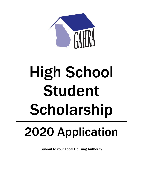

# High School Student Scholarship

## 2020 Application

Submit to your Local Housing Authority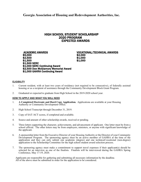## HIGH SCHOOL STUDENT SCHOLARSHIP 2020 PROGRAM EXPECTED AWARDS

ACADEMIC AWARDS<br>
\$5,000 \$2,500 \$2,500 \$2,000<br>
\$1,500 \$1,500 \$1,500 \$1,500 \$1,500<br>
\$1,000 \$1,500 SERC<br>
\$1,000 SERC Continuing Award<br>
\$2,500 Don McGlamory Memorial Award<br>\$1,000 GAHRA Continuing Award

#### **ELIGIBILITY**

- 1. Current resident, with at least two years of residency (not required to be consecutive), of federally assisted housing or as a recipient of assistance through the Community Development Block Grant Program.
- 2. Graduated or expected to graduate from High School in the 2019-2020 school year.

#### HOW TO APPLY AND WHAT YOU WILL NEED

- 1. **A Completed Electronic and Hard Copy Application.** Applications are available at your Housing Authority or Community Development Office.
- 2. High School Transcript through December 31, 2019.
- 3. Copy of SAT/ACT scores, if completed and available.
- 4. Source and amount of other scholarship awards, received or pending.
- 5. Three letters supporting the character, achievements, and advancement of applicant. One letter must be from a school official. The other letters may be from employers, ministers, or anyone with significant knowledge of the applicant.
- 6. A sponsorship letter from the Executive Director of your Housing Authority or the Director of your Community Development Program. The sponsoring agency must be an active member of GAHRA at the time of the application and they can only submit one academic (degree) and one technical/vocational (non-degree) application to the Scholarship Committee for the high school student award selection process.
- 7. The sponsoring agency must make a commitment to support travel expenses if their applicant(s) should be selected for an interview as one of the finalists. Finalists will be interviewed during the GAHRA Spring Conference, May 17-19, 2020.

Applicants are responsible for gathering and submitting all necessary information by the deadline. All of the above must be submitted in order for the application to be considered.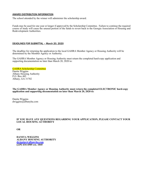#### AWARD DISTRIBUTION INFORMATION

The school attended by the winner will administer the scholarship award.

Funds may be used for one year or longer if approved by the Scholarship Committee. Failure to continue the required course of study will cause the unused portion of the funds to revert back to the Georgia Association of Housing and Redevelopment Authorities.

#### DEADLINES FOR SUBMITTAL – March 20, 2020

The deadline for returning the application to the local GAHRA Member Agency or Housing Authority will be determined by the Member Agency or Authority.

The GAHRA Member Agency or Housing Authority must return the completed hard-copy application and supporting documentation no later than March 20, 2020 to:

#### GAHRA Scholarship Committee Danita Wiggins Albany Housing Authority P.O. Box 485 Albany, GA 31702

**The GAHRA Member Agency or Housing Authority must return the completed ELECTRONIC hard-copy application and supporting documentation no later than March 20, 2020 to:**

Danita Wiggins dwiggins@albanyha.com

#### **IF YOU HAVE ANY QUESTIONS REGARDING YOUR APPLICATION, PLEASE CONTACT YOUR LOCAL HOUSING AUTHORITY**

**OR** 

**DANITA WIGGINS ALBANY HOUSING AUTHORITY [dwiggins@albanyha.com](mailto:dwiggins@albanyha.com) (229) 434-4505 ext. 1045**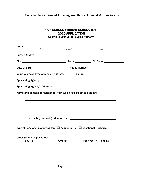| <b>HIGH SCHOOL STUDENT SCHOLARSHIP</b>        |
|-----------------------------------------------|
| <b>2020 APPLICATION</b>                       |
| <b>Submit to your Local Housing Authority</b> |

| Name:                                                                                                                                                                                                                         |       |               |                    |  |
|-------------------------------------------------------------------------------------------------------------------------------------------------------------------------------------------------------------------------------|-------|---------------|--------------------|--|
|                                                                                                                                                                                                                               | First | Middle        | Last               |  |
|                                                                                                                                                                                                                               |       |               |                    |  |
| City: City: City: City: City: City: City: City: Code: City: Code: City: Code: City: Code: City: Code: City: City: City: City: City: City: City: City: City: City: City: City: City: City: City: City: City: City: City: City: |       |               |                    |  |
| Date of Birth: No. 2010 Contract Contract Phone Number: National Phone Number:                                                                                                                                                |       |               |                    |  |
| Years you have lived at present address: E-mail: E-mail:                                                                                                                                                                      |       |               |                    |  |
|                                                                                                                                                                                                                               |       |               |                    |  |
|                                                                                                                                                                                                                               |       |               |                    |  |
| Name and address of high school from which you expect to graduate:                                                                                                                                                            |       |               |                    |  |
|                                                                                                                                                                                                                               |       |               |                    |  |
|                                                                                                                                                                                                                               |       |               |                    |  |
|                                                                                                                                                                                                                               |       |               |                    |  |
|                                                                                                                                                                                                                               |       |               |                    |  |
| Type of Scholarship applying for: $\Box$ Academic or $\Box$ Vocational/Technical                                                                                                                                              |       |               |                    |  |
| <b>Other Scholarship Awards:</b><br><b>Source</b>                                                                                                                                                                             |       | <b>Amount</b> | Received / Pending |  |
|                                                                                                                                                                                                                               |       |               |                    |  |
|                                                                                                                                                                                                                               |       |               |                    |  |
|                                                                                                                                                                                                                               |       |               |                    |  |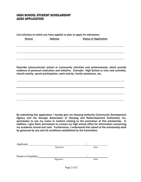### HIGH SCHOOL STUDENT SCHOLARSHIP 2020 APPLICATION

List school(s) to which you have applied or plan to apply for admission:

School **Address** Status of Application

Describe extracurricular school or community activities and achievements, which provide evidence of personal motivation and initiative. Example: High School or civic club activities, church activity, sports participation, work activity, family assistance, etc.

By submitting this application, I hereby give my Housing Authority/Community Development Agency and the Georgia Association of Housing and Redevelopment Authorities, Inc. permission to use my name in matters relating to the promotion of this scholarship. In addition, I give them permission to contact my high school office for information concerning my academic record and rank. Furthermore, I understand that award of the scholarship shall be governed by any and all conditions established by the Committee.

| Applicant:          |           |      |  |
|---------------------|-----------|------|--|
|                     | Signature | Date |  |
|                     |           |      |  |
| Parent or Guardian: |           |      |  |
|                     | Signature | Date |  |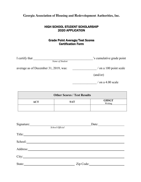#### HIGH SCHOOL STUDENT SCHOLARSHIP 2020 APPLICATION

### Grade Point Average/Test Scores Certification Form

| I certify that                        | 's cumulative grade point |
|---------------------------------------|---------------------------|
| Name of Student                       |                           |
| average as of December 31, 2019, was: | $/$ on a 100 point scale  |
|                                       | (and/or)                  |
|                                       | $\prime$ on a 4.00 scale  |

| <b>Other Scores / Test Results</b> |            |                         |  |
|------------------------------------|------------|-------------------------|--|
| ACT                                | <b>SAT</b> | <b>GHSGT</b><br>Writing |  |
|                                    |            |                         |  |

| Signature: |                 | Date:     |  |  |  |
|------------|-----------------|-----------|--|--|--|
|            | School Official |           |  |  |  |
| Title:     |                 |           |  |  |  |
|            |                 |           |  |  |  |
| Address:   |                 |           |  |  |  |
|            |                 |           |  |  |  |
| State:     |                 | Zip Code: |  |  |  |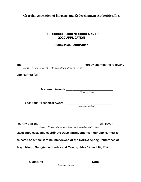### HIGH SCHOOL STUDENT SCHOLARSHIP 2020 APPLICATION

## Submission Certification

| The $\frac{1}{\text{Name of Housing Authority or Community Development Agency}}$ hereby submits the following |  |
|---------------------------------------------------------------------------------------------------------------|--|
| applicant(s) for:                                                                                             |  |
|                                                                                                               |  |
|                                                                                                               |  |
|                                                                                                               |  |
|                                                                                                               |  |
|                                                                                                               |  |
|                                                                                                               |  |
|                                                                                                               |  |
|                                                                                                               |  |
| I certify that the $\frac{1}{\text{Name of Housing Authority or Community Development Agency}}$ will cover    |  |
| associated costs and coordinate travel arrangements if our applicant(s) is                                    |  |
| selected as a finalist to be interviewed at the GAHRA Spring Conference at                                    |  |
|                                                                                                               |  |
| Jekyll Island, Georgia on Sunday and Monday, May 17 and 18, 2020.                                             |  |
|                                                                                                               |  |
|                                                                                                               |  |
| <b>Executive Director</b>                                                                                     |  |